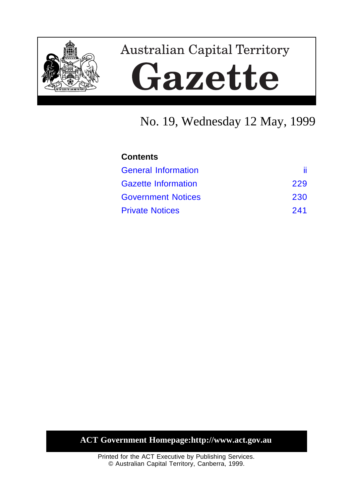

# **Australian Capital Territory** Gazette

# No. 19, Wednesday 12 May, 1999

| <b>Contents</b>            |     |  |
|----------------------------|-----|--|
| <b>General Information</b> | Ĥ.  |  |
| <b>Gazette Information</b> | 229 |  |
| <b>Government Notices</b>  | 230 |  |
| <b>Private Notices</b>     | 241 |  |

# **ACT Government Homepage:http://www.act.gov.au**

Printed for the ACT Executive by Publishing Services. © Australian Capital Territory, Canberra, 1999.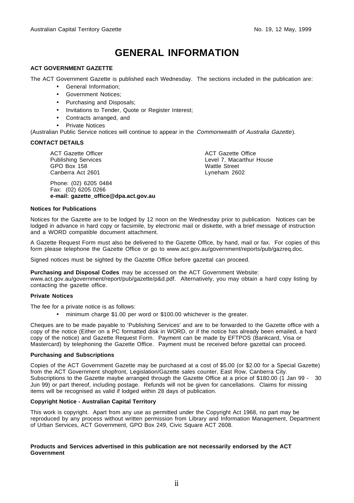# **GENERAL INFORMATION**

#### <span id="page-1-0"></span>**ACT GOVERNMENT GAZETTE**

The ACT Government Gazette is published each Wednesday. The sections included in the publication are:

- General Information;
- Government Notices;
- Purchasing and Disposals;
- Invitations to Tender, Quote or Register Interest;
- Contracts arranged, and
- Private Notices

(Australian Public Service notices will continue to appear in the Commonwealth of Australia Gazette).

#### **CONTACT DETAILS**

ACT Gazette Officer Publishing Services GPO Box 158 Canberra Act 2601

Phone: (02) 6205 0484 Fax: (02) 6205 0266 **e-mail: gazette\_office@dpa.act.gov.au** ACT Gazette Office Level 7, Macarthur House Wattle Street Lyneham 2602

#### **Notices for Publications**

Notices for the Gazette are to be lodged by 12 noon on the Wednesday prior to publication. Notices can be lodged in advance in hard copy or facsimile, by electronic mail or diskette, with a brief message of instruction and a WORD compatible document attachment.

A Gazette Request Form must also be delivered to the Gazette Office, by hand, mail or fax. For copies of this form please telephone the Gazette Office or go to www.act.gov.au/government/reports/pub/gazreq.doc.

Signed notices must be sighted by the Gazette Office before gazettal can proceed.

#### **Purchasing and Disposal Codes** may be accessed on the ACT Government Website:

www.act.gov.au/government/report/pub/gazette/p&d.pdf. Alternatively, you may obtain a hard copy listing by contacting the gazette office.

#### **Private Notices**

The fee for a private notice is as follows:

• minimum charge \$1.00 per word or \$100.00 whichever is the greater.

Cheques are to be made payable to 'Publishing Services' and are to be forwarded to the Gazette office with a copy of the notice (Either on a PC formatted disk in WORD, or if the notice has already been emailed, a hard copy of the notice) and Gazette Request Form. Payment can be made by EFTPOS (Bankcard, Visa or Mastercard) by telephoning the Gazette Office. Payment must be received before gazettal can proceed.

#### **Purchasing and Subscriptions**

Copies of the ACT Government Gazette may be purchased at a cost of \$5.00 (or \$2.00 for a Special Gazette) from the ACT Government shopfront, Legislation/Gazette sales counter, East Row, Canberra City. Subscriptions to the Gazette maybe arranged through the Gazette Office at a price of \$180.00 (1 Jan 99 - 30 Jun 99) or part thereof, including postage. Refunds will not be given for cancellations. Claims for missing items will be recognised as valid if lodged within 28 days of publication.

#### **Copyright Notice - Australian Capital Territory**

This work is copyright. Apart from any use as permitted under the Copyright Act 1968, no part may be reproduced by any process without written permission from Library and Information Management, Department of Urban Services, ACT Government, GPO Box 249, Civic Square ACT 2608.

#### **Products and Services advertised in this publication are not necessarily endorsed by the ACT Government**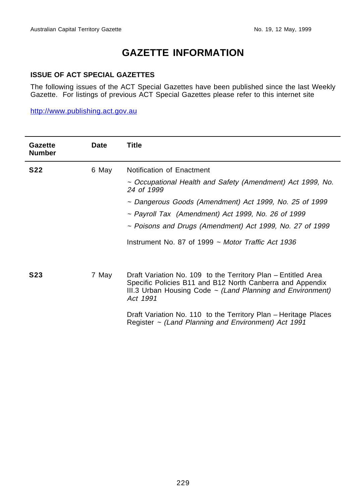# **GAZETTE INFORMATION**

#### <span id="page-2-0"></span>**ISSUE OF ACT SPECIAL GAZETTES**

The following issues of the ACT Special Gazettes have been published since the last Weekly Gazette. For listings of previous ACT Special Gazettes please refer to this internet site

http://www.publishing.act.gov.au

| Gazette<br><b>Number</b> | <b>Date</b> | Title                                                                                                                                                                                                     |
|--------------------------|-------------|-----------------------------------------------------------------------------------------------------------------------------------------------------------------------------------------------------------|
| <b>S22</b>               | 6 May       | Notification of Enactment                                                                                                                                                                                 |
|                          |             | ~ Occupational Health and Safety (Amendment) Act 1999, No.<br>24 of 1999                                                                                                                                  |
|                          |             | ~ Dangerous Goods (Amendment) Act 1999, No. 25 of 1999                                                                                                                                                    |
|                          |             | ~ Payroll Tax (Amendment) Act 1999, No. 26 of 1999                                                                                                                                                        |
|                          |             | ~ Poisons and Drugs (Amendment) Act 1999, No. 27 of 1999                                                                                                                                                  |
|                          |             | Instrument No. 87 of 1999 $\sim$ Motor Traffic Act 1936                                                                                                                                                   |
| <b>S23</b>               | 7 May       | Draft Variation No. 109 to the Territory Plan - Entitled Area<br>Specific Policies B11 and B12 North Canberra and Appendix<br>III.3 Urban Housing Code $\sim$ (Land Planning and Environment)<br>Act 1991 |
|                          |             | Draft Variation No. 110 to the Territory Plan - Heritage Places<br>Register $\sim$ (Land Planning and Environment) Act 1991                                                                               |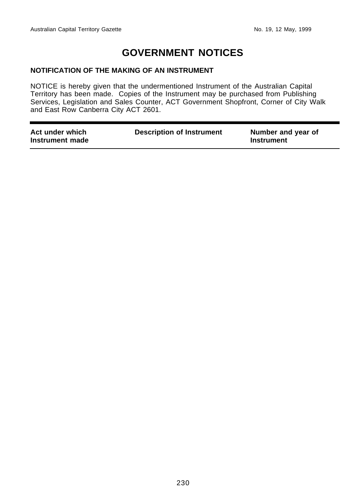# **GOVERNMENT NOTICES**

#### <span id="page-3-0"></span>**NOTIFICATION OF THE MAKING OF AN INSTRUMENT**

NOTICE is hereby given that the undermentioned Instrument of the Australian Capital Territory has been made. Copies of the Instrument may be purchased from Publishing Services, Legislation and Sales Counter, ACT Government Shopfront, Corner of City Walk and East Row Canberra City ACT 2601.

| Act under which<br>Instrument made | <b>Description of Instrument</b> | Number and year of<br>Instrument |
|------------------------------------|----------------------------------|----------------------------------|
|                                    |                                  |                                  |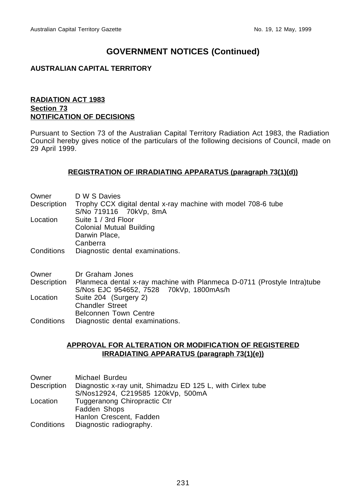#### **AUSTRALIAN CAPITAL TERRITORY**

#### **RADIATION ACT 1983 Section 73 NOTIFICATION OF DECISIONS**

Pursuant to Section 73 of the Australian Capital Territory Radiation Act 1983, the Radiation Council hereby gives notice of the particulars of the following decisions of Council, made on 29 April 1999.

#### **REGISTRATION OF IRRADIATING APPARATUS (paragraph 73(1)(d))**

| Owner       | D W S Davies                                                                                                       |
|-------------|--------------------------------------------------------------------------------------------------------------------|
| Description | Trophy CCX digital dental x-ray machine with model 708-6 tube<br>S/No 719116 70kVp, 8mA                            |
| Location    | Suite 1 / 3rd Floor<br>Colonial Mutual Building<br>Darwin Place,<br>Canberra                                       |
| Conditions  | Diagnostic dental examinations.                                                                                    |
| Owner       | Dr Graham Jones                                                                                                    |
| Description | Planmeca dental x-ray machine with Planmeca D-0711 (Prostyle Intra)tube<br>S/Nos EJC 954652, 7528 70kVp, 1800mAs/h |
| Location    | Suite 204 (Surgery 2)<br><b>Chandler Street</b><br><b>Belconnen Town Centre</b>                                    |
| Conditions  | Diagnostic dental examinations.                                                                                    |

#### **APPROVAL FOR ALTERATION OR MODIFICATION OF REGISTERED IRRADIATING APPARATUS (paragraph 73(1)(e))**

| Owner       | Michael Burdeu                                             |
|-------------|------------------------------------------------------------|
| Description | Diagnostic x-ray unit, Shimadzu ED 125 L, with Cirlex tube |
|             | S/Nos12924, C219585 120kVp, 500mA                          |
| Location    | Tuggeranong Chiropractic Ctr                               |
|             | Fadden Shops                                               |
|             | Hanlon Crescent, Fadden                                    |
| Conditions  | Diagnostic radiography.                                    |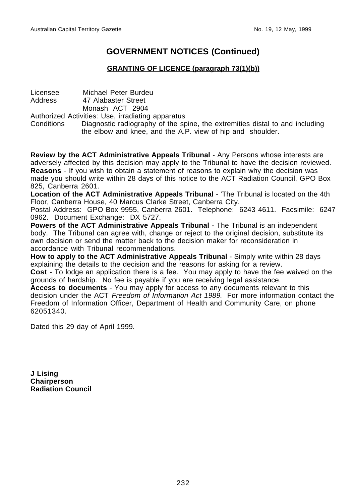#### **GRANTING OF LICENCE (paragraph 73(1)(b))**

Licensee Michael Peter Burdeu<br>Address 47 Alabaster Street 47 Alabaster Street Monash ACT 2904

Authorized Activities: Use, irradiating apparatus

Conditions Diagnostic radiography of the spine, the extremities distal to and including the elbow and knee, and the A.P. view of hip and shoulder.

**Review by the ACT Administrative Appeals Tribunal** - Any Persons whose interests are adversely affected by this decision may apply to the Tribunal to have the decision reviewed. **Reasons** - If you wish to obtain a statement of reasons to explain why the decision was made you should write within 28 days of this notice to the ACT Radiation Council, GPO Box 825, Canberra 2601.

**Location of the ACT Administrative Appeals Tribunal** - 'The Tribunal is located on the 4th Floor, Canberra House, 40 Marcus Clarke Street, Canberra City.

Postal Address: GPO Box 9955, Canberra 2601. Telephone: 6243 4611. Facsimile: 6247 0962. Document Exchange: DX 5727.

**Powers of the ACT Administrative Appeals Tribunal** - The Tribunal is an independent body. The Tribunal can agree with, change or reject to the original decision, substitute its own decision or send the matter back to the decision maker for reconsideration in accordance with Tribunal recommendations.

**How to apply to the ACT Administrative Appeals Tribunal** - Simply write within 28 days explaining the details to the decision and the reasons for asking for a review.

**Cost** - To lodge an application there is a fee. You may apply to have the fee waived on the grounds of hardship. No fee is payable if you are receiving legal assistance.

**Access to documents** - You may apply for access to any documents relevant to this decision under the ACT *Freedom of Information Act 1989*. For more information contact the Freedom of Information Officer, Department of Health and Community Care, on phone 62051340.

Dated this 29 day of April 1999.

**J Lising Chairperson Radiation Council**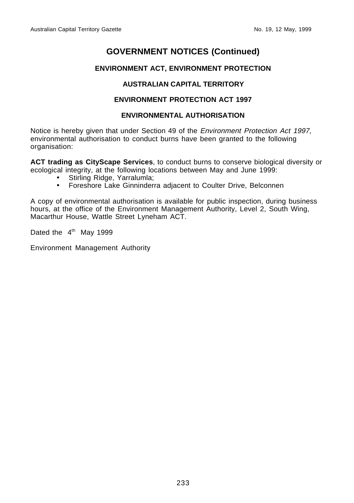#### **ENVIRONMENT ACT, ENVIRONMENT PROTECTION**

#### **AUSTRALIAN CAPITAL TERRITORY**

#### **ENVIRONMENT PROTECTION ACT 1997**

#### **ENVIRONMENTAL AUTHORISATION**

Notice is hereby given that under Section 49 of the Environment Protection Act 1997, environmental authorisation to conduct burns have been granted to the following organisation:

**ACT trading as CityScape Services**, to conduct burns to conserve biological diversity or ecological integrity, at the following locations between May and June 1999:

- Stirling Ridge, Yarralumla;
- Foreshore Lake Ginninderra adjacent to Coulter Drive, Belconnen

A copy of environmental authorisation is available for public inspection, during business hours, at the office of the Environment Management Authority, Level 2, South Wing, Macarthur House, Wattle Street Lyneham ACT.

Dated the  $4<sup>th</sup>$  May 1999

Environment Management Authority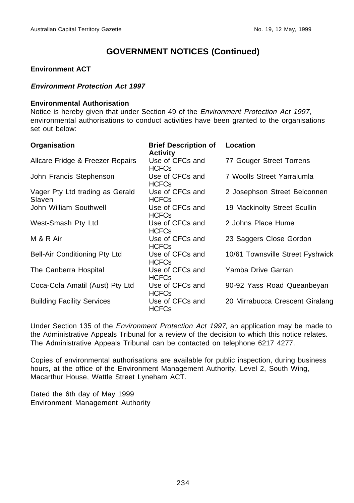#### **Environment ACT**

#### **Environment Protection Act 1997**

#### **Environmental Authorisation**

Notice is hereby given that under Section 49 of the Environment Protection Act 1997, environmental authorisations to conduct activities have been granted to the organisations set out below:

| Organisation                              | <b>Brief Description of</b><br><b>Activity</b> | Location                         |
|-------------------------------------------|------------------------------------------------|----------------------------------|
| Allcare Fridge & Freezer Repairs          | Use of CFCs and<br><b>HCFCs</b>                | 77 Gouger Street Torrens         |
| John Francis Stephenson                   | Use of CFCs and<br><b>HCFCs</b>                | 7 Woolls Street Yarralumla       |
| Vager Pty Ltd trading as Gerald<br>Slaven | Use of CFCs and<br><b>HCFCs</b>                | 2 Josephson Street Belconnen     |
| John William Southwell                    | Use of CFCs and<br><b>HCFCs</b>                | 19 Mackinolty Street Scullin     |
| West-Smash Pty Ltd                        | Use of CFCs and<br><b>HCFCs</b>                | 2 Johns Place Hume               |
| M & R Air                                 | Use of CFCs and<br><b>HCFCs</b>                | 23 Saggers Close Gordon          |
| Bell-Air Conditioning Pty Ltd             | Use of CFCs and<br><b>HCFCs</b>                | 10/61 Townsville Street Fyshwick |
| The Canberra Hospital                     | Use of CFCs and<br><b>HCFCs</b>                | Yamba Drive Garran               |
| Coca-Cola Amatil (Aust) Pty Ltd           | Use of CFCs and<br><b>HCFCs</b>                | 90-92 Yass Road Queanbeyan       |
| <b>Building Facility Services</b>         | Use of CFCs and<br><b>HCFCs</b>                | 20 Mirrabucca Crescent Giralang  |

Under Section 135 of the Environment Protection Act 1997, an application may be made to the Administrative Appeals Tribunal for a review of the decision to which this notice relates. The Administrative Appeals Tribunal can be contacted on telephone 6217 4277.

Copies of environmental authorisations are available for public inspection, during business hours, at the office of the Environment Management Authority, Level 2, South Wing, Macarthur House, Wattle Street Lyneham ACT.

Dated the 6th day of May 1999 Environment Management Authority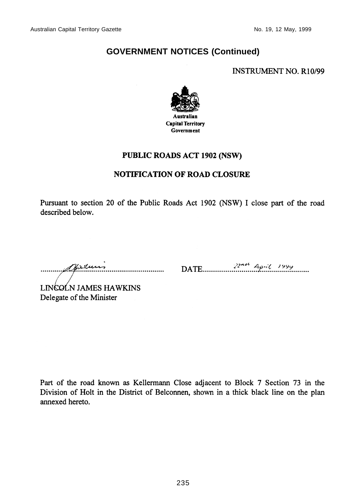**INSTRUMENT NO. R10/99** 



# **PUBLIC ROADS ACT 1902 (NSW)**

#### **NOTIFICATION OF ROAD CLOSURE**

Pursuant to section 20 of the Public Roads Act 1902 (NSW) I close part of the road described below.

mundersturi

LINCOLN JAMES HAWKINS Delegate of the Minister

Part of the road known as Kellermann Close adjacent to Block 7 Section 73 in the Division of Holt in the District of Belconnen, shown in a thick black line on the plan annexed hereto.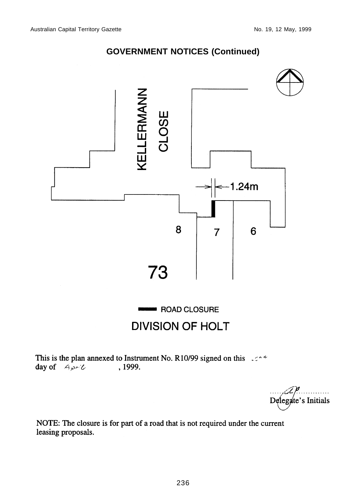

# **DIVISION OF HOLT**

This is the plan annexed to Instrument No. R10/99 signed on this  $\cos^2$ , 1999. day of  $A_{\mathcal{P}}$ 

Delegate's Initials

NOTE: The closure is for part of a road that is not required under the current leasing proposals.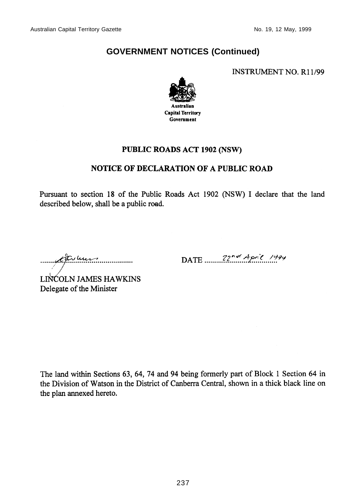**INSTRUMENT NO. R11/99** 



## PUBLIC ROADS ACT 1902 (NSW)

## **NOTICE OF DECLARATION OF A PUBLIC ROAD**

Pursuant to section 18 of the Public Roads Act 1902 (NSW) I declare that the land described below, shall be a public road.

museum

DATE  $22^{n\alpha}$  April 1994

LINCOLN JAMES HAWKINS Delegate of the Minister

The land within Sections 63, 64, 74 and 94 being formerly part of Block 1 Section 64 in the Division of Watson in the District of Canberra Central, shown in a thick black line on the plan annexed hereto.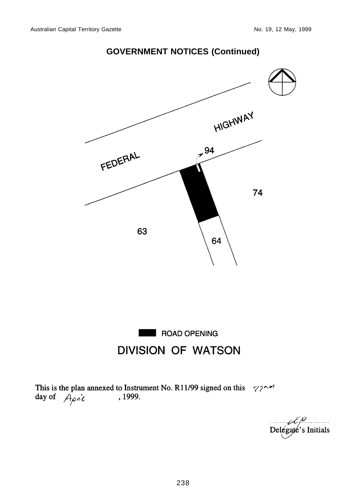



This is the plan annexed to Instrument No. R11/99 signed on this  $\gamma$ ? day of  $\n *A* \rho \dot{\rho} \dot{\ell}$ 

p. . . . . . . . . . . Delegate's Initials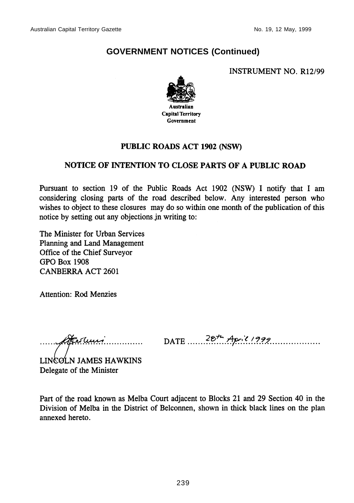**INSTRUMENT NO. R12/99** 



## **PUBLIC ROADS ACT 1902 (NSW)**

## NOTICE OF INTENTION TO CLOSE PARTS OF A PUBLIC ROAD

Pursuant to section 19 of the Public Roads Act 1902 (NSW) I notify that I am considering closing parts of the road described below. Any interested person who wishes to object to these closures may do so within one month of the publication of this notice by setting out any objections in writing to:

The Minister for Urban Services Planning and Land Management Office of the Chief Surveyor **GPO Box 1908 CANBERRA ACT 2601** 

**Attention: Rod Menzies** 

Herlen, man

DATE  $28^{t}$  April 1999

LINGOLN JAMES HAWKINS Delegate of the Minister

Part of the road known as Melba Court adjacent to Blocks 21 and 29 Section 40 in the Division of Melba in the District of Belconnen, shown in thick black lines on the plan annexed hereto.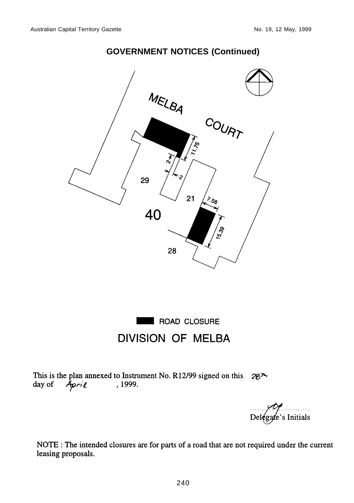# MELBA COURT **1.15** 29  $21$ နေ 40 28

# **GOVERNMENT NOTICES (Continued)**



This is the plan annexed to Instrument No. R12/99 signed on this  $28^{\lambda}$ day of April , 1999.

 $De$ lega 's Initials

NOTE : The intended closures are for parts of a road that are not required under the current leasing proposals.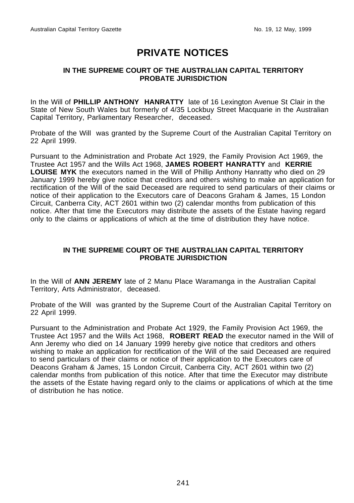# **PRIVATE NOTICES**

#### <span id="page-14-0"></span>**IN THE SUPREME COURT OF THE AUSTRALIAN CAPITAL TERRITORY PROBATE JURISDICTION**

In the Will of **PHILLIP ANTHONY HANRATTY** late of 16 Lexington Avenue St Clair in the State of New South Wales but formerly of 4/35 Lockbuy Street Macquarie in the Australian Capital Territory, Parliamentary Researcher, deceased.

Probate of the Will was granted by the Supreme Court of the Australian Capital Territory on 22 April 1999.

Pursuant to the Administration and Probate Act 1929, the Family Provision Act 1969, the Trustee Act 1957 and the Wills Act 1968, **JAMES ROBERT HANRATTY** and **KERRIE LOUISE MYK** the executors named in the Will of Phillip Anthony Hanratty who died on 29 January 1999 hereby give notice that creditors and others wishing to make an application for rectification of the Will of the said Deceased are required to send particulars of their claims or notice of their application to the Executors care of Deacons Graham & James, 15 London Circuit, Canberra City, ACT 2601 within two (2) calendar months from publication of this notice. After that time the Executors may distribute the assets of the Estate having regard only to the claims or applications of which at the time of distribution they have notice.

#### **IN THE SUPREME COURT OF THE AUSTRALIAN CAPITAL TERRITORY PROBATE JURISDICTION**

In the Will of **ANN JEREMY** late of 2 Manu Place Waramanga in the Australian Capital Territory, Arts Administrator, deceased.

Probate of the Will was granted by the Supreme Court of the Australian Capital Territory on 22 April 1999.

Pursuant to the Administration and Probate Act 1929, the Family Provision Act 1969, the Trustee Act 1957 and the Wills Act 1968, **ROBERT READ** the executor named in the Will of Ann Jeremy who died on 14 January 1999 hereby give notice that creditors and others wishing to make an application for rectification of the Will of the said Deceased are required to send particulars of their claims or notice of their application to the Executors care of Deacons Graham & James, 15 London Circuit, Canberra City, ACT 2601 within two (2) calendar months from publication of this notice. After that time the Executor may distribute the assets of the Estate having regard only to the claims or applications of which at the time of distribution he has notice.